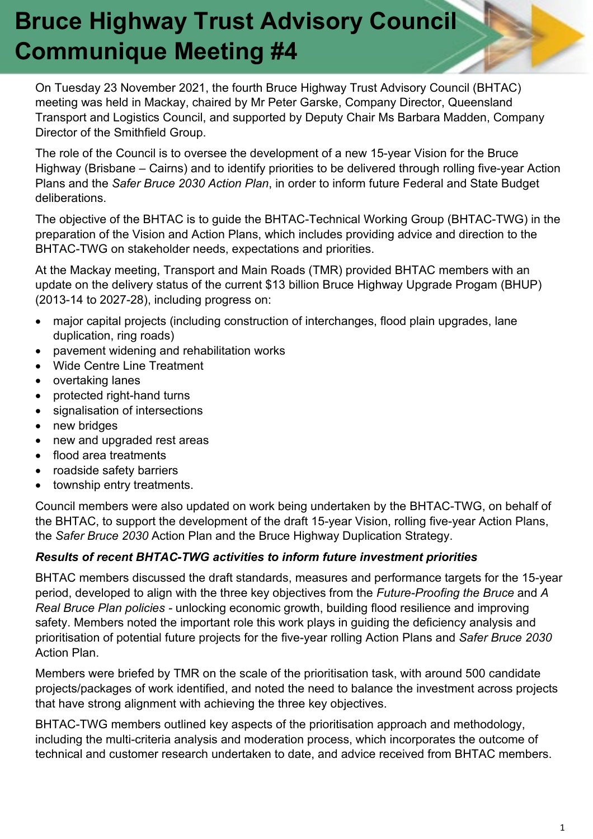### **Bruce Highway Trust Advisory Council Communique Meeting #4**

On Tuesday 23 November 2021, the fourth Bruce Highway Trust Advisory Council (BHTAC) meeting was held in Mackay, chaired by Mr Peter Garske, Company Director, Queensland Transport and Logistics Council, and supported by Deputy Chair Ms Barbara Madden, Company Director of the Smithfield Group.

The role of the Council is to oversee the development of a new 15-year Vision for the Bruce Highway (Brisbane – Cairns) and to identify priorities to be delivered through rolling five-year Action Plans and the *Safer Bruce 2030 Action Plan*, in order to inform future Federal and State Budget deliberations.

The objective of the BHTAC is to guide the BHTAC-Technical Working Group (BHTAC-TWG) in the preparation of the Vision and Action Plans, which includes providing advice and direction to the BHTAC-TWG on stakeholder needs, expectations and priorities.

At the Mackay meeting, Transport and Main Roads (TMR) provided BHTAC members with an update on the delivery status of the current \$13 billion Bruce Highway Upgrade Progam (BHUP) (2013-14 to 2027-28), including progress on:

- major capital projects (including construction of interchanges, flood plain upgrades, lane duplication, ring roads)
- pavement widening and rehabilitation works
- Wide Centre Line Treatment
- overtaking lanes
- protected right-hand turns
- signalisation of intersections
- new bridges
- new and upgraded rest areas
- flood area treatments
- roadside safety barriers
- township entry treatments.

Council members were also updated on work being undertaken by the BHTAC-TWG, on behalf of the BHTAC, to support the development of the draft 15-year Vision, rolling five-year Action Plans, the *Safer Bruce 2030* Action Plan and the Bruce Highway Duplication Strategy.

#### *Results of recent BHTAC-TWG activities to inform future investment priorities*

BHTAC members discussed the draft standards, measures and performance targets for the 15-year period, developed to align with the three key objectives from the *Future-Proofing the Bruce* and *A Real Bruce Plan policies -* unlocking economic growth, building flood resilience and improving safety. Members noted the important role this work plays in guiding the deficiency analysis and prioritisation of potential future projects for the five-year rolling Action Plans and *Safer Bruce 2030* Action Plan.

Members were briefed by TMR on the scale of the prioritisation task, with around 500 candidate projects/packages of work identified, and noted the need to balance the investment across projects that have strong alignment with achieving the three key objectives.

BHTAC-TWG members outlined key aspects of the prioritisation approach and methodology, including the multi-criteria analysis and moderation process, which incorporates the outcome of technical and customer research undertaken to date, and advice received from BHTAC members.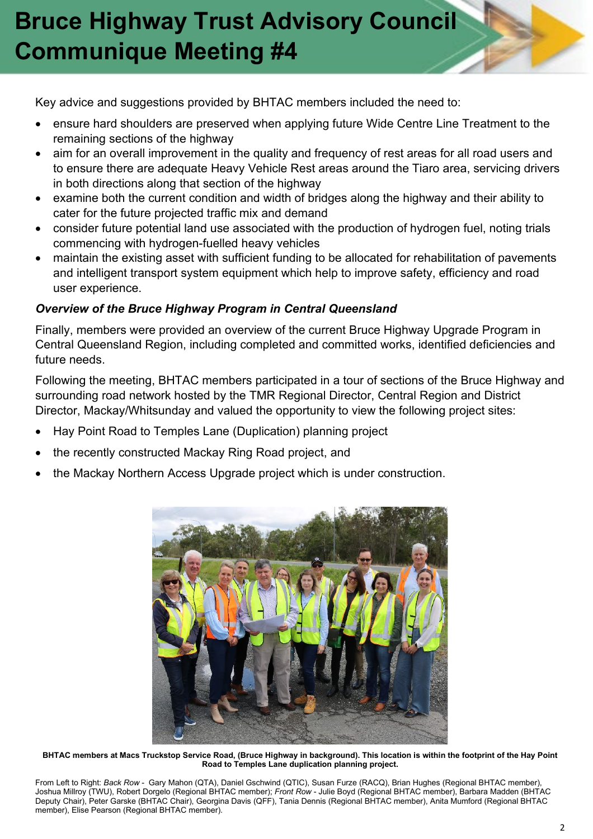# **Bruce Highway Trust Advisory Council Communique Meeting #4**

Key advice and suggestions provided by BHTAC members included the need to:

- ensure hard shoulders are preserved when applying future Wide Centre Line Treatment to the remaining sections of the highway
- aim for an overall improvement in the quality and frequency of rest areas for all road users and to ensure there are adequate Heavy Vehicle Rest areas around the Tiaro area, servicing drivers in both directions along that section of the highway
- examine both the current condition and width of bridges along the highway and their ability to cater for the future projected traffic mix and demand
- consider future potential land use associated with the production of hydrogen fuel, noting trials commencing with hydrogen-fuelled heavy vehicles
- maintain the existing asset with sufficient funding to be allocated for rehabilitation of pavements and intelligent transport system equipment which help to improve safety, efficiency and road user experience.

### *Overview of the Bruce Highway Program in Central Queensland*

Finally, members were provided an overview of the current Bruce Highway Upgrade Program in Central Queensland Region, including completed and committed works, identified deficiencies and future needs.

Following the meeting, BHTAC members participated in a tour of sections of the Bruce Highway and surrounding road network hosted by the TMR Regional Director, Central Region and District Director, Mackay/Whitsunday and valued the opportunity to view the following project sites:

- Hay Point Road to Temples Lane (Duplication) planning project
- the recently constructed Mackay Ring Road project, and
- the Mackay Northern Access Upgrade project which is under construction.



**BHTAC members at Macs Truckstop Service Road, (Bruce Highway in background). This location is within the footprint of the Hay Point Road to Temples Lane duplication planning project.**

From Left to Right: *Back Row* - Gary Mahon (QTA), Daniel Gschwind (QTIC), Susan Furze (RACQ), Brian Hughes (Regional BHTAC member), Joshua Millroy (TWU), Robert Dorgelo (Regional BHTAC member); *Front Row* - Julie Boyd (Regional BHTAC member), Barbara Madden (BHTAC Deputy Chair), Peter Garske (BHTAC Chair), Georgina Davis (QFF), Tania Dennis (Regional BHTAC member), Anita Mumford (Regional BHTAC member), Elise Pearson (Regional BHTAC member).